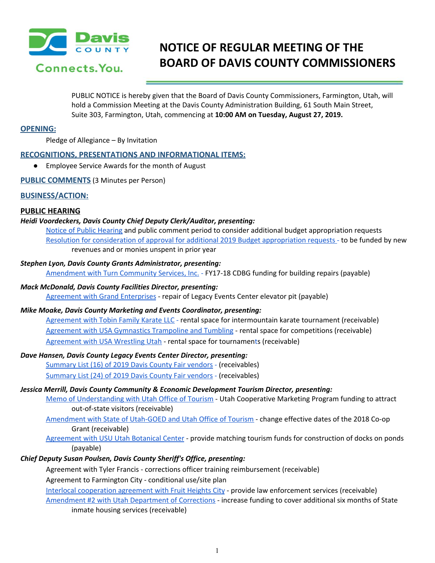

# **NOTICE OF REGULAR MEETING OF THE BOARD OF DAVIS COUNTY COMMISSIONERS**

PUBLIC NOTICE is hereby given that the Board of Davis County Commissioners, Farmington, Utah, will hold a Commission Meeting at the Davis County Administration Building, 61 South Main Street, Suite 303, Farmington, Utah, commencing at **10:00 AM on Tuesday, August 27, 2019.**

# **OPENING:**

Pledge of Allegiance – By Invitation

# **RECOGNITIONS, PRESENTATIONS AND INFORMATIONAL ITEMS:**

● Employee Service Awards for the month of August

**PUBLIC COMMENTS** (3 Minutes per Person)

# **BUSINESS/ACTION:**

# **PUBLIC HEARING**

# *Heidi Voordeckers, Davis County Chief Deputy Clerk/Auditor, presenting:*

Notice of Public [Hearing](https://drive.google.com/a/co.davis.ut.us/file/d/1cJX_MYBCbUNTKNJ0RR1to98RVms_oWq4/view?usp=drivesdk) and public comment period to consider additional budget appropriation requests Resolution for consideration of approval for additional 2019 Budget [appropriation](https://drive.google.com/a/co.davis.ut.us/file/d/119-TuB31HsdT_HWpI4mrXSzALb1NVLDj/view?usp=drivesdk) requests [-](https://drive.google.com/a/co.davis.ut.us/file/d/119-TuB31HsdT_HWpI4mrXSzALb1NVLDj/view?usp=drivesdk) to be funded by new revenues and or monies unspent in prior year

#### *Stephen Lyon, Davis County Grants Administrator, presenting:*

[Amendment](https://drive.google.com/a/co.davis.ut.us/file/d/1IsoOolpo6jyTOJSoEEHTFrv0jhyCw0y8/view?usp=drivesdk) with Turn Community Services, Inc. [-](https://drive.google.com/a/co.davis.ut.us/file/d/1IsoOolpo6jyTOJSoEEHTFrv0jhyCw0y8/view?usp=drivesdk) FY17-18 CDBG funding for building repairs (payable)

#### *Mack McDonald, Davis County Facilities Director, presenting:*

Agreement with Grand [Enterprises](https://drive.google.com/a/co.davis.ut.us/file/d/1KjNzs7NBNfCCJ0vlj-LPpLncF7nf-6lY/view?usp=drivesdk) [-](https://drive.google.com/a/co.davis.ut.us/file/d/1KjNzs7NBNfCCJ0vlj-LPpLncF7nf-6lY/view?usp=drivesdk) repair of Legacy Events Center elevator pit (payable)

# *Mike Moake, Davis County Marketing and Events Coordinator, presenting:*

[Agreement](https://drive.google.com/a/co.davis.ut.us/file/d/1OGVpT-2eMQEnhVfF9NI6h4fOTfk7Xhi_/view?usp=drivesdk) with Tobin Family Karate LLC [-](https://drive.google.com/a/co.davis.ut.us/file/d/1OGVpT-2eMQEnhVfF9NI6h4fOTfk7Xhi_/view?usp=drivesdk) rental space for intermountain karate tournament (receivable) Agreement with USA [Gymnastics](https://drive.google.com/a/co.davis.ut.us/file/d/1oSctF6p2fgaWje0IQc95xmerugwFj9sO/view?usp=drivesdk) Trampoline and Tumbling - rental space for competitions (receivable) [Agreement](https://drive.google.com/a/co.davis.ut.us/file/d/10qyctbT_Rm9teYC951voGy1bKTOColrN/view?usp=drivesdk) with USA Wrestling Utah - rental space for tourname[nt](https://drive.google.com/a/co.davis.ut.us/file/d/10qyctbT_Rm9teYC951voGy1bKTOColrN/view?usp=drivesdk)s (receivable)

# *Dave Hansen, Davis County Legacy Events Center Director, presenting:*

[Summary](https://drive.google.com/a/co.davis.ut.us/file/d/1XqdSbSaAY7pUFbO44rOhpiVN9eVMxdrs/view?usp=drivesdk) List (16) of 2019 Davis County Fair vendors [-](https://drive.google.com/a/co.davis.ut.us/file/d/1XqdSbSaAY7pUFbO44rOhpiVN9eVMxdrs/view?usp=drivesdk) (receivables) [Summary](https://drive.google.com/a/co.davis.ut.us/file/d/1tgQsqrC0EF3n8OZdUa_N9cPcT6y5hXnn/view?usp=drivesdk) List (24) of 2019 Davis County Fair vendors [-](https://drive.google.com/a/co.davis.ut.us/file/d/1tgQsqrC0EF3n8OZdUa_N9cPcT6y5hXnn/view?usp=drivesdk) (receivables)

#### *Jessica Merrill, Davis County Community & Economic Development Tourism Director, presenting:*

Memo of [Understanding](https://drive.google.com/a/co.davis.ut.us/file/d/1cM1ID0UhIKHf7AkKJH2EXDfxjNU2y82k/view?usp=drivesdk) with Utah Office of Tourism - Utah Cooperative Marketing Program funding to attract out-of-state visitors (receivable)

[Amendment](https://drive.google.com/a/co.davis.ut.us/file/d/1cQOcxAG9CsoHWe9w7lW0-NdKsBPsJlwi/view?usp=drivesdk) with State of Utah-GOED and Utah Office of Tourism - change effective dates of the 2018 Co-op Grant (receivable)

[Agreement](https://drive.google.com/a/co.davis.ut.us/file/d/1Xw-mOLXBzVPrhxeSpgK9_kNU4fuCRvWN/view?usp=drivesdk) with USU Utah Botanical Center - provide matching tourism funds for construction of docks on ponds (payable)

# *Chief Deputy Susan Poulsen, Davis County Sheriff's Office, presenting:*

Agreement with Tyler Francis - corrections officer training reimbursement (receivable)

Agreement to Farmington City - conditional use/site plan

Interlocal [cooperation](https://drive.google.com/a/co.davis.ut.us/file/d/1SoXn4EKMGHGROaa5tBplSF809klXilUQ/view?usp=drivesdk) agreement with Fruit Heights City - provide law enforcement services (receivable) [Amendment](https://drive.google.com/a/co.davis.ut.us/file/d/1xcnlMO_wNJ3RSiaKzG6uUElFVw2_rfNc/view?usp=drivesdk) #2 with Utah Department of Corrections - increase funding to cover additional six months of State inmate housing services (receivable)